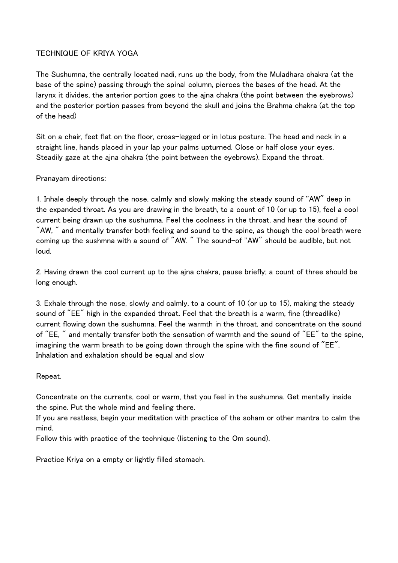# TECHNIQUE OF KRIYA YOGA

The Sushumna, the centrally located nadi, runs up the body, from the Muladhara chakra (at the base of the spine) passing through the spinal column, pierces the bases of the head. At the larynx it divides, the anterior portion goes to the ajna chakra (the point between the eyebrows) and the posterior portion passes from beyond the skull and joins the Brahma chakra (at the top of the head)

Sit on a chair, feet flat on the floor, cross-legged or in lotus posture. The head and neck in a straight line, hands placed in your lap your palms upturned. Close or half close your eyes. Steadily gaze at the ajna chakra (the point between the eyebrows). Expand the throat.

### Pranayam directions:

1. Inhale deeply through the nose, calmly and slowly making the steady sound of ''AW" deep in the expanded throat. As you are drawing in the breath, to a count of 10 (or up to 15), feel a cool current being drawn up the sushumna. Feel the coolness in the throat, and hear the sound of "AW, " and mentally transfer both feeling and sound to the spine, as though the cool breath were coming up the sushmna with a sound of "AW. " The sound-of ''AW" should be audible, but not loud.

2. Having drawn the cool current up to the ajna chakra, pause briefly; a count of three should be long enough.

3. Exhale through the nose, slowly and calmly, to a count of 10 (or up to 15), making the steady sound of "EE" high in the expanded throat. Feel that the breath is a warm, fine (threadlike) current flowing down the sushumna. Feel the warmth in the throat, and concentrate on the sound of "EE, " and mentally transfer both the sensation of warmth and the sound of "EE" to the spine, imagining the warm breath to be going down through the spine with the fine sound of "EE". Inhalation and exhalation should be equal and slow

### Repeat.

Concentrate on the currents, cool or warm, that you feel in the sushumna. Get mentally inside the spine. Put the whole mind and feeling there.

If you are restless, begin your meditation with practice of the soham or other mantra to calm the mind.

Follow this with practice of the technique (listening to the Om sound).

Practice Kriya on a empty or lightly filled stomach.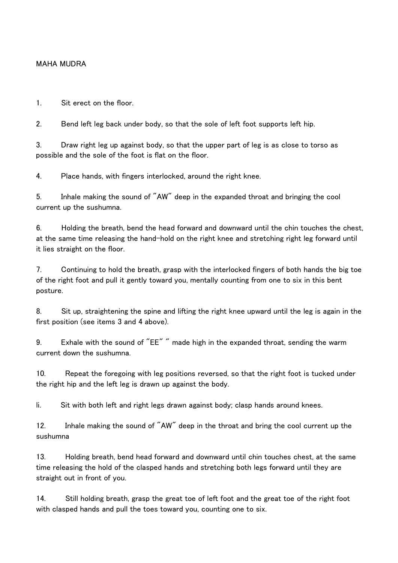## MAHA MUDRA

1. Sit erect on the floor.

2. Bend left leg back under body, so that the sole of left foot supports left hip.

3. Draw right leg up against body, so that the upper part of leg is as close to torso as possible and the sole of the foot is flat on the floor.

4. Place hands, with fingers interlocked, around the right knee.

5. Inhale making the sound of "AW" deep in the expanded throat and bringing the cool current up the sushumna.

6. Holding the breath, bend the head forward and downward until the chin touches the chest, at the same time releasing the hand-hold on the right knee and stretching right leg forward until it lies straight on the floor.

7. Continuing to hold the breath, grasp with the interlocked fingers of both hands the big toe of the right foot and pull it gently toward you, mentally counting from one to six in this bent posture.

8. Sit up, straightening the spine and lifting the right knee upward until the leg is again in the first position (see items 3 and 4 above).

9. Exhale with the sound of "EE" " made high in the expanded throat, sending the warm current down the sushumna.

10. Repeat the foregoing with leg positions reversed, so that the right foot is tucked under the right hip and the left leg is drawn up against the body.

li. Sit with both left and right legs drawn against body; clasp hands around knees.

12. Inhale making the sound of "AW" deep in the throat and bring the cool current up the sushumna

13. Holding breath, bend head forward and downward until chin touches chest, at the same time releasing the hold of the clasped hands and stretching both legs forward until they are straight out in front of you.

14. Still holding breath, grasp the great toe of left foot and the great toe of the right foot with clasped hands and pull the toes toward you, counting one to six.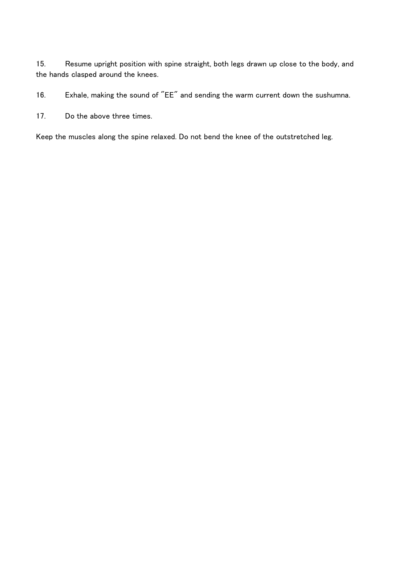15. Resume upright position with spine straight, both legs drawn up close to the body, and the hands clasped around the knees.

16. Exhale, making the sound of "EE" and sending the warm current down the sushumna.

17. Do the above three times.

Keep the muscles along the spine relaxed. Do not bend the knee of the outstretched leg.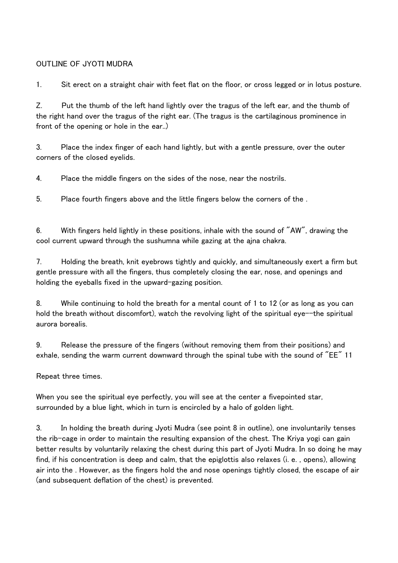# OUTLINE OF JYOTI MUDRA

1. Sit erect on a straight chair with feet flat on the floor, or cross legged or in lotus posture.

Z. Put the thumb of the left hand lightly over the tragus of the left ear, and the thumb of the right hand over the tragus of the right ear. (The tragus is the cartilaginous prominence in front of the opening or hole in the ear..)

3. Place the index finger of each hand lightly, but with a gentle pressure, over the outer corners of the closed eyelids.

4. Place the middle fingers on the sides of the nose, near the nostrils.

5. Place fourth fingers above and the little fingers below the corners of the .

6. With fingers held lightly in these positions, inhale with the sound of "AW", drawing the cool current upward through the sushumna while gazing at the ajna chakra.

7. Holding the breath, knit eyebrows tightly and quickly, and simultaneously exert a firm but gentle pressure with all the fingers, thus completely closing the ear, nose, and openings and holding the eyeballs fixed in the upward-gazing position.

8. While continuing to hold the breath for a mental count of 1 to 12 (or as long as you can hold the breath without discomfort), watch the revolving light of the spiritual eye--the spiritual aurora borealis.

9. Release the pressure of the fingers (without removing them from their positions) and exhale, sending the warm current downward through the spinal tube with the sound of "EE" 11

Repeat three times.

When you see the spiritual eye perfectly, you will see at the center a fivepointed star, surrounded by a blue light, which in turn is encircled by a halo of golden light.

3. In holding the breath during Jyoti Mudra (see point 8 in outline), one involuntarily tenses the rib-cage in order to maintain the resulting expansion of the chest. The Kriya yogi can gain better results by voluntarily relaxing the chest during this part of Jyoti Mudra. In so doing he may find, if his concentration is deep and calm, that the epiglottis also relaxes (i. e. , opens), allowing air into the . However, as the fingers hold the and nose openings tightly closed, the escape of air (and subsequent deflation of the chest) is prevented.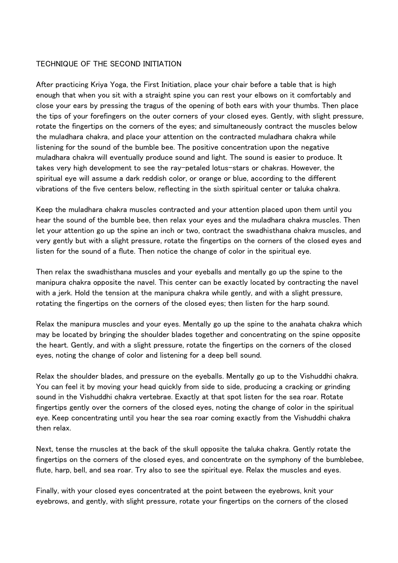## TECHNIQUE OF THE SECOND INITIATION

After practicing Kriya Yoga, the First Initiation, place your chair before a table that is high enough that when you sit with a straight spine you can rest your elbows on it comfortably and close your ears by pressing the tragus of the opening of both ears with your thumbs. Then place the tips of your forefingers on the outer corners of your closed eyes. Gently, with slight pressure, rotate the fingertips on the corners of the eyes; and simultaneously contract the muscles below the muladhara chakra, and place your attention on the contracted muladhara chakra while listening for the sound of the bumble bee. The positive concentration upon the negative muladhara chakra will eventually produce sound and light. The sound is easier to produce. It takes very high development to see the ray-petaled lotus-stars or chakras. However, the spiritual eye will assume a dark reddish color, or orange or blue, according to the different vibrations of the five centers below, reflecting in the sixth spiritual center or taluka chakra.

Keep the muladhara chakra muscles contracted and your attention placed upon them until you hear the sound of the bumble bee, then relax your eyes and the muladhara chakra muscles. Then let your attention go up the spine an inch or two, contract the swadhisthana chakra muscles, and very gently but with a slight pressure, rotate the fingertips on the corners of the closed eyes and listen for the sound of a flute. Then notice the change of color in the spiritual eye.

Then relax the swadhisthana muscles and your eyeballs and mentally go up the spine to the manipura chakra opposite the navel. This center can be exactly located by contracting the navel with a jerk. Hold the tension at the manipura chakra while gently, and with a slight pressure, rotating the fingertips on the corners of the closed eyes; then listen for the harp sound.

Relax the manipura muscles and your eyes. Mentally go up the spine to the anahata chakra which may be located by bringing the shoulder blades together and concentrating on the spine opposite the heart. Gently, and with a slight pressure, rotate the fingertips on the corners of the closed eyes, noting the change of color and listening for a deep bell sound.

Relax the shoulder blades, and pressure on the eyeballs. Mentally go up to the Vishuddhi chakra. You can feel it by moving your head quickly from side to side, producing a cracking or grinding sound in the Vishuddhi chakra vertebrae. Exactly at that spot listen for the sea roar. Rotate fingertips gently over the corners of the closed eyes, noting the change of color in the spiritual eye. Keep concentrating until you hear the sea roar coming exactly from the Vishuddhi chakra then relax.

Next, tense the rnuscles at the back of the skull opposite the taluka chakra. Gently rotate the fingertips on the corners of the closed eyes, and concentrate on the symphony of the bumblebee, flute, harp, bell, and sea roar. Try also to see the spiritual eye. Relax the muscles and eyes.

Finally, with your closed eyes concentrated at the point between the eyebrows, knit your eyebrows, and gently, with slight pressure, rotate your fingertips on the corners of the closed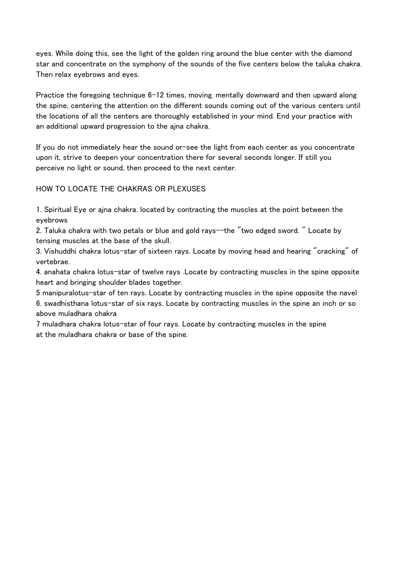eyes. While doing this, see the light of the golden ring around the blue center with the diamond star and concentrate on the symphony of the sounds of the five centers below the taluka chakra. Then relax eyebrows and eyes.

Practice the foregoing technique 6-12 times, moving. mentally downward and then upward along the spine, centering the attention on the different sounds coming out of the various centers until the locations of all the centers are thoroughly established in your mind. End your practice with an additional upward progression to the ajna chakra.

If you do not immediately hear the sound or-see the light from each center as you concentrate upon it, strive to deepen your concentration there for several seconds longer. If still you perceive no light or sound, then proceed to the next center.

# HOW TO LOCATE THE CHAKRAS OR PLEXUSES

1. Spiritual Eye or ajna chakra. located by contracting the muscles at the point between the eyebrows

2. Taluka chakra with two petals or blue and gold rays--the "two edged sword. " Locate by tensing muscles at the base of the skull.

3. Vishuddhi chakra lotus-star of sixteen rays. Locate by moving head and hearing "cracking" of vertebrae.

4. anahata chakra lotus-star of twelve rays .Locate by contracting muscles in the spine opposite heart and bringing shoulder blades together.

5 manipuralotus-star of ten rays. Locate by contracting muscles in the spine opposite the navel 6. swadhisthana lotus-star of six rays. Locate by contracting muscles in the spine an inch or so above muladhara chakra

7 muladhara chakra lotus-star of four rays. Locate by contracting muscles in the spine at the muladhara chakra or base of the spine.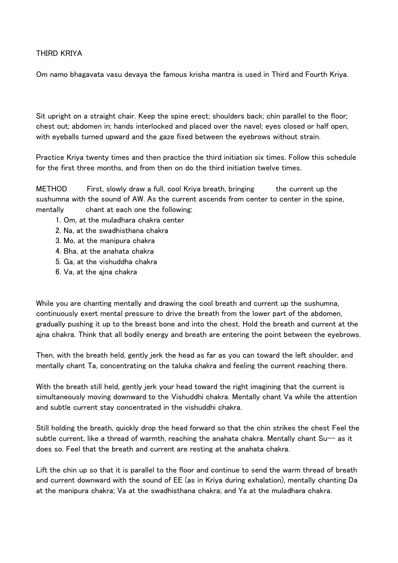# THIRD KRIYA

Om namo bhagavata vasu devaya the famous krisha mantra is used in Third and Fourth Kriya.

Sit upright on a straight chair. Keep the spine erect; shoulders back; chin parallel to the floor; chest out; abdomen in; hands interlocked and placed over the navel; eyes closed or half open, with eyeballs turned upward and the gaze fixed between the eyebrows without strain.

Practice Kriya twenty times and then practice the third initiation six times. Follow this schedule for the first three months, and from then on do the third initiation twelve times.

METHOD First, slowly draw a full, cool Kriya breath, bringing the current up the sushumna with the sound of AW. As the current ascends from center to center in the spine, mentally chant at each one the following:

- 1. Om, at the muladhara chakra center
- 2. Na, at the swadhisthana chakra
- 3. Mo, at the manipura chakra
- 4. Bha, at the anahata chakra
- 5. Ga, at the vishuddha chakra
- 6. Va, at the ajna chakra

While you are chanting mentally and drawing the cool breath and current up the sushumna, continuously exert mental pressure to drive the breath from the lower part of the abdomen, gradually pushing it up to the breast bone and into the chest. Hold the breath and current at the ajna chakra. Think that all bodily energy and breath are entering the point between the eyebrows.

Then, with the breath held, gently jerk the head as far as you can toward the left shoulder, and mentally chant Ta, concentrating on the taluka chakra and feeling the current reaching there.

With the breath still held, gently jerk your head toward the right imagining that the current is simultaneously moving downward to the Vishuddhi chakra. Mentally chant Va while the attention and subtle current stay concentrated in the vishuddhi chakra.

Still holding the breath, quickly drop the head forward so that the chin strikes the chest Feel the subtle current, like a thread of warmth, reaching the anahata chakra. Mentally chant  $Su-$  as it does so. Feel that the breath and current are resting at the anahata chakra.

Lift the chin up so that it is parallel to the floor and continue to send the warm thread of breath and current downward with the sound of EE (as in Kriya during exhalation), mentally chanting Da at the manipura chakra; Va at the swadhisthana chakra; and Ya at the muladhara chakra.